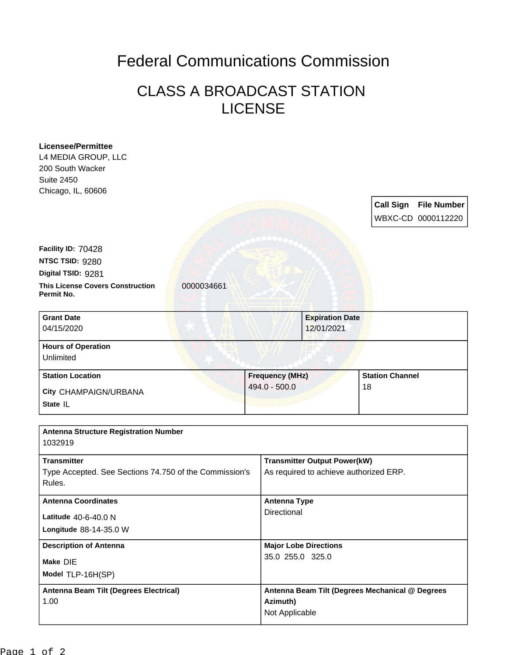## Federal Communications Commission

## CLASS A BROADCAST STATION LICENSE

| <b>Licensee/Permittee</b>                                           |                     |                                                                               |                  |                    |
|---------------------------------------------------------------------|---------------------|-------------------------------------------------------------------------------|------------------|--------------------|
| L4 MEDIA GROUP, LLC<br>200 South Wacker                             |                     |                                                                               |                  |                    |
| <b>Suite 2450</b>                                                   |                     |                                                                               |                  |                    |
| Chicago, IL, 60606                                                  |                     |                                                                               |                  |                    |
|                                                                     |                     |                                                                               | <b>Call Sign</b> | <b>File Number</b> |
|                                                                     |                     |                                                                               |                  | WBXC-CD 0000112220 |
|                                                                     |                     |                                                                               |                  |                    |
| Facility ID: 70428                                                  |                     |                                                                               |                  |                    |
| NTSC TSID: 9280                                                     |                     |                                                                               |                  |                    |
| Digital TSID: 9281                                                  |                     |                                                                               |                  |                    |
| <b>This License Covers Construction</b><br>0000034661<br>Permit No. |                     |                                                                               |                  |                    |
| <b>Grant Date</b>                                                   |                     | <b>Expiration Date</b>                                                        |                  |                    |
| 04/15/2020                                                          |                     | 12/01/2021                                                                    |                  |                    |
| <b>Hours of Operation</b>                                           |                     |                                                                               |                  |                    |
| Unlimited                                                           |                     |                                                                               |                  |                    |
|                                                                     |                     | <b>Frequency (MHz)</b><br><b>Station Channel</b>                              |                  |                    |
| <b>Station Location</b>                                             |                     |                                                                               |                  |                    |
| City CHAMPAIGN/URBANA                                               | 494.0 - 500.0       |                                                                               | 18               |                    |
| State IL                                                            |                     |                                                                               |                  |                    |
|                                                                     |                     |                                                                               |                  |                    |
| <b>Antenna Structure Registration Number</b><br>1032919             |                     |                                                                               |                  |                    |
| <b>Transmitter</b>                                                  |                     |                                                                               |                  |                    |
| Type Accepted. See Sections 74.750 of the Commission's<br>Rules.    |                     | <b>Transmitter Output Power(kW)</b><br>As required to achieve authorized ERP. |                  |                    |
| <b>Antenna Coordinates</b>                                          | <b>Antenna Type</b> |                                                                               |                  |                    |
|                                                                     | Directional         |                                                                               |                  |                    |
| Latitude 40-6-40.0 N<br>Longitude 88-14-35.0 W                      |                     |                                                                               |                  |                    |
| <b>Description of Antenna</b>                                       |                     | <b>Major Lobe Directions</b>                                                  |                  |                    |
|                                                                     | 35.0 255.0 325.0    |                                                                               |                  |                    |
| Make DIE<br>Model TLP-16H(SP)                                       |                     |                                                                               |                  |                    |
| Antenna Beam Tilt (Degrees Electrical)                              |                     | Antenna Beam Tilt (Degrees Mechanical @ Degrees                               |                  |                    |
| 1.00                                                                | Azimuth)            |                                                                               |                  |                    |